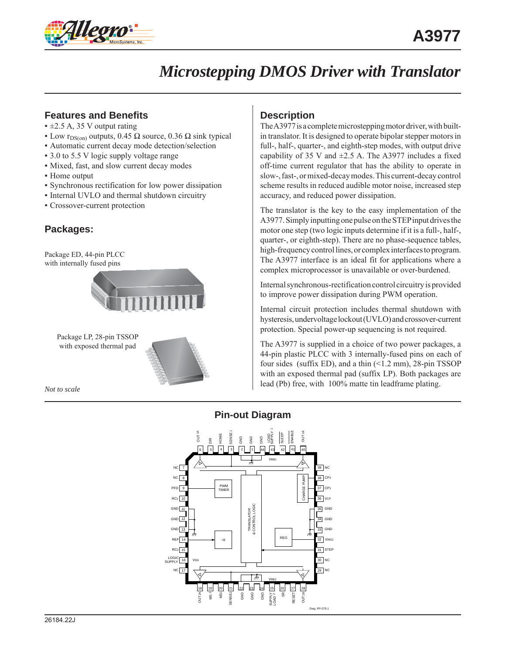

### **Features and Benefits**

- $\pm 2.5$  A, 35 V output rating
- **•** Low r<sub>DS(on)</sub> outputs, 0.45 Ω source, 0.36 Ω sink typical
- Automatic current decay mode detection/selection
- 3.0 to 5.5 V logic supply voltage range
- Mixed, fast, and slow current decay modes
- Home output
- Synchronous rectification for low power dissipation
- Internal UVLO and thermal shutdown circuitry
- Crossover-current protection

### **Packages:**

Package ED, 44-pin PLCC with internally fused pins



Package LP, 28-pin TSSOP with exposed thermal pad

*Not to scale*

### **Description**

The A3977 is a complete microstepping motor driver, with builtin translator. It is designed to operate bipolar stepper motors in full-, half-, quarter-, and eighth-step modes, with output drive capability of 35 V and  $\pm$ 2.5 A. The A3977 includes a fixed off-time current regulator that has the ability to operate in slow-, fast-, or mixed-decay modes. This current-decay control scheme results in reduced audible motor noise, increased step accuracy, and reduced power dissipation.

The translator is the key to the easy implementation of the A3977. Simply inputting one pulse on the STEP input drives the motor one step (two logic inputs determine if it is a full-, half-, quarter-, or eighth-step). There are no phase-sequence tables, high-frequency control lines, or complex interfaces to program. The A3977 interface is an ideal fit for applications where a complex microprocessor is unavailable or over-burdened.

Internal synchronous-rectification control circuitry is provided to improve power dissipation during PWM operation.

Internal circuit protection includes thermal shutdown with hysteresis, undervoltage lockout (UVLO) and crossover-current protection. Special power-up sequencing is not required.

The A3977 is supplied in a choice of two power packages, a 44-pin plastic PLCC with 3 internally-fused pins on each of four sides (suffix ED), and a thin (<1.2 mm), 28-pin TSSOP with an exposed thermal pad (suffix LP). Both packages are lead (Pb) free, with 100% matte tin leadframe plating.

### **Pin-out Diagram**

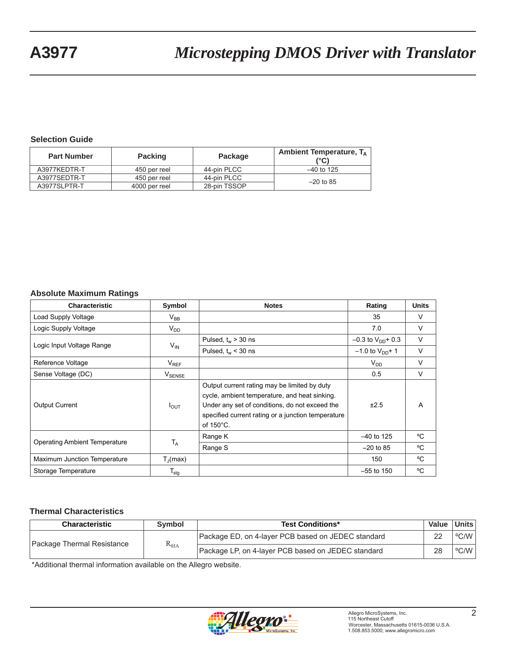#### **Selection Guide**

| <b>Part Number</b> | <b>Packing</b> | Package      | Ambient Temperature, $T_A$<br>(°C) |
|--------------------|----------------|--------------|------------------------------------|
| A3977KEDTR-T       | 450 per reel   | 44-pin PLCC  | $-40$ to 125                       |
| A3977SEDTR-T       | 450 per reel   | 44-pin PLCC  | $-20$ to 85                        |
| A3977SLPTR-T       | 4000 per reel  | 28-pin TSSOP |                                    |

#### **Absolute Maximum Ratings**

| <b>Characteristic</b>                | Symbol                        | <b>Notes</b>                                                                                                                                                                                                                 | Rating                   | <b>Units</b> |
|--------------------------------------|-------------------------------|------------------------------------------------------------------------------------------------------------------------------------------------------------------------------------------------------------------------------|--------------------------|--------------|
| Load Supply Voltage                  | $V_{BB}$                      |                                                                                                                                                                                                                              | 35                       | V            |
| Logic Supply Voltage                 | $V_{DD}$                      |                                                                                                                                                                                                                              | 7.0                      | V            |
| Logic Input Voltage Range            |                               | Pulsed, $t_w$ > 30 ns                                                                                                                                                                                                        | $-0.3$ to $V_{DD}$ + 0.3 | $\vee$       |
|                                      | $V_{IN}$                      | Pulsed, $t_w$ < 30 ns                                                                                                                                                                                                        | $-1.0$ to $V_{DD}$ + 1   | $\vee$       |
| Reference Voltage                    | $V_{REF}$                     |                                                                                                                                                                                                                              | $V_{DD}$                 | $\vee$       |
| Sense Voltage (DC)                   | $\mathsf{V}_{\mathsf{SENSE}}$ |                                                                                                                                                                                                                              | 0.5                      | $\vee$       |
| <b>Output Current</b>                | $I_{\text{OUT}}$              | Output current rating may be limited by duty<br>cycle, ambient temperature, and heat sinking.<br>Under any set of conditions, do not exceed the<br>specified current rating or a junction temperature<br>of $150^{\circ}$ C. | ±2.5                     | A            |
|                                      |                               | Range K                                                                                                                                                                                                                      | $-40$ to 125             | °C           |
| <b>Operating Ambient Temperature</b> | $T_A$                         | Range S                                                                                                                                                                                                                      | $-20$ to 85              | °C           |
| Maximum Junction Temperature         | $T_{\rm d}$ (max)             |                                                                                                                                                                                                                              | 150                      | $\rm ^{o}C$  |
| Storage Temperature                  | $T_{\text{stg}}$              |                                                                                                                                                                                                                              | $-55$ to 150             | °C           |

#### **Thermal Characteristics**

| <b>Test Conditions*</b><br><b>Characteristic</b><br>Symbol |                        | Value                                              | Units l |                        |
|------------------------------------------------------------|------------------------|----------------------------------------------------|---------|------------------------|
| Package Thermal Resistance                                 | $\rm R_{\rm \thetaJA}$ | Package ED, on 4-layer PCB based on JEDEC standard | 22      | $^{\circ}$ C/W $\vert$ |
|                                                            |                        | Package LP, on 4-layer PCB based on JEDEC standard | 28      | $^{\circ}$ C/W $\vert$ |

\*Additional thermal information available on the Allegro website.

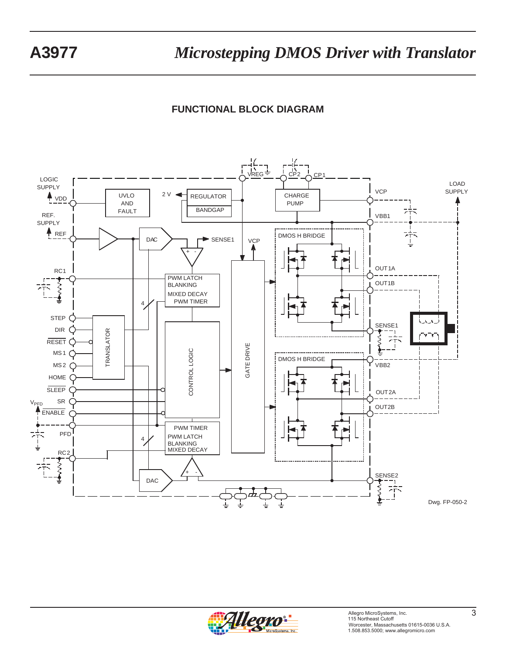## **FUNCTIONAL BLOCK DIAGRAM**



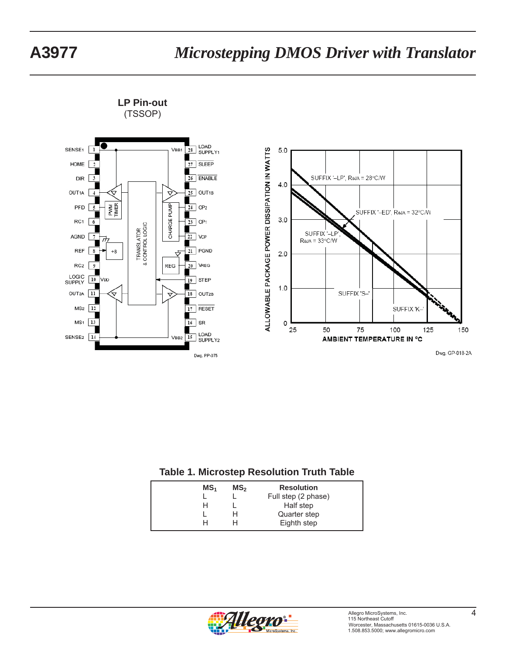

**LP Pin-out** (TSSOP)



Dwg. GP-018-2A

#### **Table 1. Microstep Resolution Truth Table**

| MS <sub>1</sub> | MS <sub>2</sub> | <b>Resolution</b>   |
|-----------------|-----------------|---------------------|
|                 |                 | Full step (2 phase) |
| н               |                 | Half step           |
|                 | н               | Quarter step        |
|                 |                 | Eighth step         |

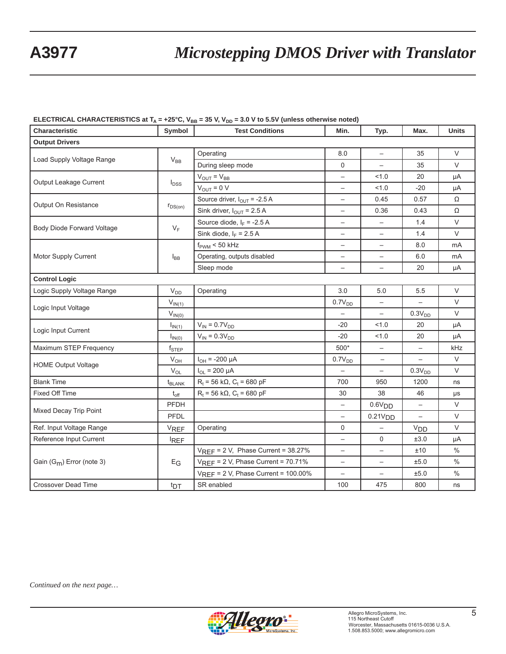#### **ELECTRICAL CHARACTERISTICS at T<sub>A</sub> = +25°C, V<sub>BB</sub> = 35 V, V<sub>DD</sub> = 3.0 V to 5.5V (unless otherwise noted)**

| Characteristic              | Symbol             | <b>Test Conditions</b>                   | Min.                            | Typ.                     | Max.                     | Units  |  |  |  |
|-----------------------------|--------------------|------------------------------------------|---------------------------------|--------------------------|--------------------------|--------|--|--|--|
| <b>Output Drivers</b>       |                    |                                          |                                 |                          |                          |        |  |  |  |
|                             |                    | Operating                                | 8.0                             | $\qquad \qquad -$        | 35                       | $\vee$ |  |  |  |
| Load Supply Voltage Range   | $V_{BB}$           | During sleep mode                        | 0                               | $\overline{\phantom{0}}$ | 35                       | $\vee$ |  |  |  |
| Output Leakage Current      |                    | $V_{OUT} = V_{BB}$                       | $\overline{\phantom{0}}$        | 1.0                      | 20                       | μA     |  |  |  |
|                             | $I_{DSS}$          | $V_{OUT} = 0 V$                          | $\qquad \qquad -$               | 1.0                      | $-20$                    | μA     |  |  |  |
|                             |                    | Source driver, $I_{OUT}$ = -2.5 A        | $\overbrace{\phantom{1232211}}$ | 0.45                     | 0.57                     | Ω      |  |  |  |
| Output On Resistance        | $r_{DS(on)}$       | Sink driver, $I_{OUT}$ = 2.5 A           | $\qquad \qquad -$               | 0.36                     | 0.43                     | Ω      |  |  |  |
|                             |                    | Source diode, $I_F = -2.5 A$             | $\qquad \qquad -$               | $\qquad \qquad -$        | 1.4                      | $\vee$ |  |  |  |
| Body Diode Forward Voltage  | $V_F$              | Sink diode, $I_F$ = 2.5 A                | $\overline{\phantom{0}}$        | $\overline{\phantom{a}}$ | 1.4                      | $\vee$ |  |  |  |
|                             |                    | $f_{\text{PWM}}$ < 50 kHz                | $\overbrace{\phantom{1232211}}$ | $\overline{\phantom{0}}$ | 8.0                      | mA     |  |  |  |
| Motor Supply Current        | $I_{BB}$           | Operating, outputs disabled              | $\qquad \qquad -$               | $\qquad \qquad -$        | 6.0                      | mA     |  |  |  |
|                             |                    | Sleep mode                               | $\qquad \qquad -$               | $\overline{\phantom{0}}$ | 20                       | μA     |  |  |  |
| <b>Control Logic</b>        |                    |                                          |                                 |                          |                          |        |  |  |  |
| Logic Supply Voltage Range  | $V_{DD}$           | Operating                                | 3.0                             | 5.0                      | 5.5                      | $\vee$ |  |  |  |
|                             | $V_{IN(1)}$        |                                          | 0.7V <sub>DD</sub>              | $\overline{\phantom{a}}$ | $\overline{\phantom{0}}$ | $\vee$ |  |  |  |
| Logic Input Voltage         | $V_{IN(0)}$        |                                          |                                 | $\overline{\phantom{0}}$ | 0.3V <sub>DD</sub>       | $\vee$ |  |  |  |
|                             | I <sub>IN(1)</sub> | $V_{IN} = 0.7V_{DD}$                     | $-20$                           | 1.0                      | 20                       | μA     |  |  |  |
| Logic Input Current         | $I_{IN(0)}$        | $V_{IN} = 0.3V_{DD}$                     | $-20$                           | 1.0                      | 20                       | μA     |  |  |  |
| Maximum STEP Frequency      | $f_{\text{STEP}}$  |                                          | 500*                            | $\overline{\phantom{0}}$ |                          | kHz    |  |  |  |
|                             | $V_{OH}$           | $I_{OH}$ = -200 µA                       | 0.7V <sub>DD</sub>              | $\qquad \qquad -$        |                          | $\vee$ |  |  |  |
| <b>HOME Output Voltage</b>  | $V_{OL}$           | $I_{OL}$ = 200 µA                        | $\qquad \qquad -$               | $\qquad \qquad -$        | $0.3\rm{V}_{DD}$         | V      |  |  |  |
| <b>Blank Time</b>           | t <sub>BLANK</sub> | $R_t$ = 56 kΩ, C <sub>t</sub> = 680 pF   | 700                             | 950                      | 1200                     | ns     |  |  |  |
| Fixed Off Time              | $t_{\rm off}$      | $R_t$ = 56 kΩ, C <sub>t</sub> = 680 pF   | 30                              | 38                       | 46                       | μs     |  |  |  |
| Mixed Decay Trip Point      | <b>PFDH</b>        |                                          | $\qquad \qquad -$               | 0.6V <sub>DD</sub>       | $\qquad \qquad -$        | $\vee$ |  |  |  |
|                             | PFDL               |                                          | $\overbrace{\phantom{1232211}}$ | 0.21V <sub>DD</sub>      | $\qquad \qquad -$        | $\vee$ |  |  |  |
| Ref. Input Voltage Range    | <b>VREF</b>        | Operating                                | $\mathbf 0$                     | $\overline{\phantom{0}}$ | <b>V<sub>DD</sub></b>    | $\vee$ |  |  |  |
| Reference Input Current     | <b>REF</b>         |                                          | $\qquad \qquad -$               | 0                        | ±3.0                     | μA     |  |  |  |
|                             |                    | $V_{REF}$ = 2 V, Phase Current = 38.27%  | $\qquad \qquad -$               | $\overline{\phantom{0}}$ | ±10                      | $\%$   |  |  |  |
| Gain $(G_m)$ Error (note 3) | $E_G$              | $V_{REF}$ = 2 V, Phase Current = 70.71%  | $\qquad \qquad -$               | $\overline{\phantom{0}}$ | ±5.0                     | $\%$   |  |  |  |
|                             |                    | $V_{REF}$ = 2 V, Phase Current = 100.00% |                                 | $\qquad \qquad -$        | ±5.0                     | $\%$   |  |  |  |
| Crossover Dead Time         | t <sub>DT</sub>    | SR enabled                               | 100                             | 475                      | 800                      | ns     |  |  |  |

*Continued on the next page…*

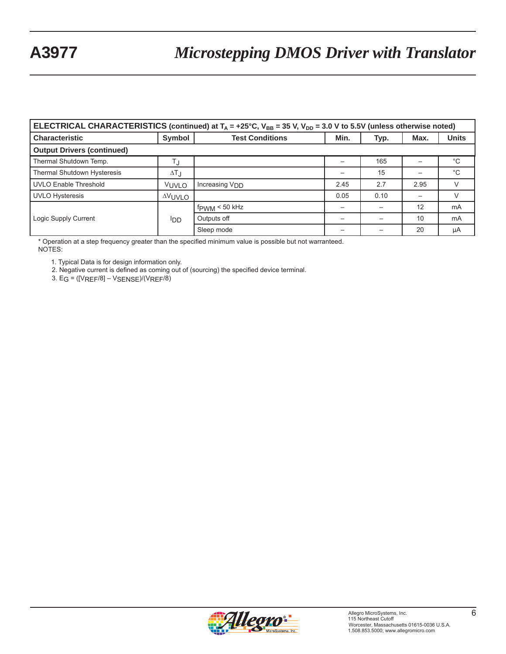| ELECTRICAL CHARACTERISTICS (continued) at $T_A$ = +25°C, $V_{BB}$ = 35 V, $V_{DD}$ = 3.0 V to 5.5V (unless otherwise noted) |                    |                            |                          |      |      |              |  |  |
|-----------------------------------------------------------------------------------------------------------------------------|--------------------|----------------------------|--------------------------|------|------|--------------|--|--|
| <b>Characteristic</b>                                                                                                       | Symbol             | <b>Test Conditions</b>     | Min.                     | Typ. | Max. | <b>Units</b> |  |  |
| <b>Output Drivers (continued)</b>                                                                                           |                    |                            |                          |      |      |              |  |  |
| Thermal Shutdown Temp.                                                                                                      | T,j                |                            |                          | 165  |      | $^{\circ}C$  |  |  |
| <b>Thermal Shutdown Hysteresis</b>                                                                                          | $\Delta T_{\rm J}$ |                            |                          | 15   |      | $^{\circ}C$  |  |  |
| <b>UVLO Enable Threshold</b>                                                                                                | VUVLO              | Increasing V <sub>DD</sub> | 2.45                     | 2.7  | 2.95 | V            |  |  |
| <b>UVLO Hysteresis</b>                                                                                                      | <b>AVUVLO</b>      |                            | 0.05                     | 0.10 |      | V            |  |  |
|                                                                                                                             | ססי                | $f_{\text{PWM}}$ < 50 kHz  |                          |      | 12   | mA           |  |  |
| Logic Supply Current                                                                                                        |                    | Outputs off                |                          |      | 10   | mA           |  |  |
|                                                                                                                             |                    | Sleep mode                 | $\overline{\phantom{0}}$ |      | 20   | μA           |  |  |

\* Operation at a step frequency greater than the specified minimum value is possible but not warranteed. NOTES:

1. Typical Data is for design information only.

2. Negative current is defined as coming out of (sourcing) the specified device terminal.

3.  $EG = ([V_{REF}/8] - V_{SENSE})/(V_{REF}/8)$ 

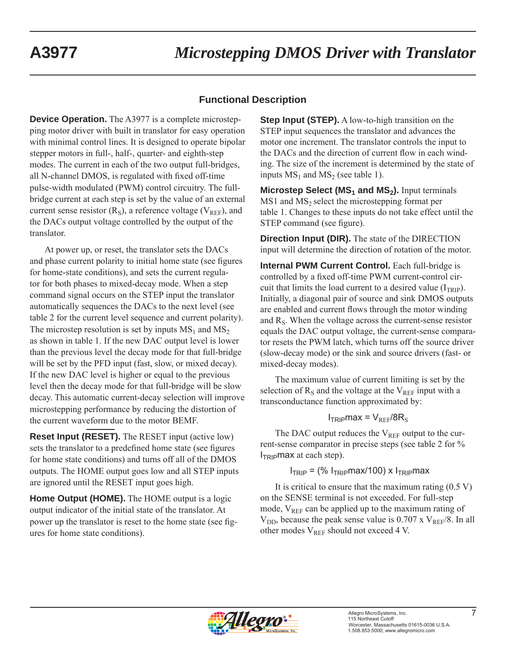### **Functional Description**

**Device Operation.** The A3977 is a complete microstepping motor driver with built in translator for easy operation with minimal control lines. It is designed to operate bipolar stepper motors in full-, half-, quarter- and eighth-step modes. The current in each of the two output full-bridges, all N-channel DMOS, is regulated with fixed off-time pulse-width modulated (PWM) control circuitry. The fullbridge current at each step is set by the value of an external current sense resistor  $(R<sub>S</sub>)$ , a reference voltage  $(V<sub>REF</sub>)$ , and the DACs output voltage controlled by the output of the translator.

At power up, or reset, the translator sets the DACs and phase current polarity to initial home state (see figures for home-state conditions), and sets the current regulator for both phases to mixed-decay mode. When a step command signal occurs on the STEP input the translator automatically sequences the DACs to the next level (see table 2 for the current level sequence and current polarity). The microstep resolution is set by inputs  $MS_1$  and  $MS_2$ as shown in table 1. If the new DAC output level is lower than the previous level the decay mode for that full-bridge will be set by the PFD input (fast, slow, or mixed decay). If the new DAC level is higher or equal to the previous level then the decay mode for that full-bridge will be slow decay. This automatic current-decay selection will improve microstepping performance by reducing the distortion of the current waveform due to the motor BEMF.

**Reset Input (RESET).** The RESET input (active low) sets the translator to a predefined home state (see figures for home state conditions) and turns off all of the DMOS outputs. The HOME output goes low and all STEP inputs are ignored until the RESET input goes high.

**Home Output (HOME).** The HOME output is a logic output indicator of the initial state of the translator. At power up the translator is reset to the home state (see figures for home state conditions).

**Step Input (STEP).** A low-to-high transition on the STEP input sequences the translator and advances the motor one increment. The translator controls the input to the DACs and the direction of current flow in each winding. The size of the increment is determined by the state of inputs  $MS_1$  and  $MS_2$  (see table 1).

**Microstep Select (MS<sub>1</sub> and MS<sub>2</sub>).** Input terminals  $MS1$  and  $MS<sub>2</sub>$  select the microstepping format per table 1. Changes to these inputs do not take effect until the STEP command (see figure).

**Direction Input (DIR).** The state of the DIRECTION input will determine the direction of rotation of the motor.

**Internal PWM Current Control.** Each full-bridge is controlled by a fixed off-time PWM current-control circuit that limits the load current to a desired value  $(I_{TRIP})$ . Initially, a diagonal pair of source and sink DMOS outputs are enabled and current flows through the motor winding and  $R<sub>S</sub>$ . When the voltage across the current-sense resistor equals the DAC output voltage, the current-sense comparator resets the PWM latch, which turns off the source driver (slow-decay mode) or the sink and source drivers (fast- or mixed-decay modes).

The maximum value of current limiting is set by the selection of  $R<sub>S</sub>$  and the voltage at the  $V<sub>REF</sub>$  input with a transconductance function approximated by:

#### $I_{TRIP}$ max =  $V_{REF}/8R_S$

The DAC output reduces the  $V_{REF}$  output to the current-sense comparator in precise steps (see table 2 for %  $I_{\text{TEID}}$ max at each step).

### $I<sub>TRIP</sub> =$  (%  $I<sub>TRIP</sub>max/100$ ) x  $I<sub>TRIP</sub>max$

It is critical to ensure that the maximum rating  $(0.5 V)$ on the SENSE terminal is not exceeded. For full-step mode,  $V_{REF}$  can be applied up to the maximum rating of  $V_{DD}$ , because the peak sense value is 0.707 x  $V_{REF}/8$ . In all other modes  $V_{REF}$  should not exceed 4 V.

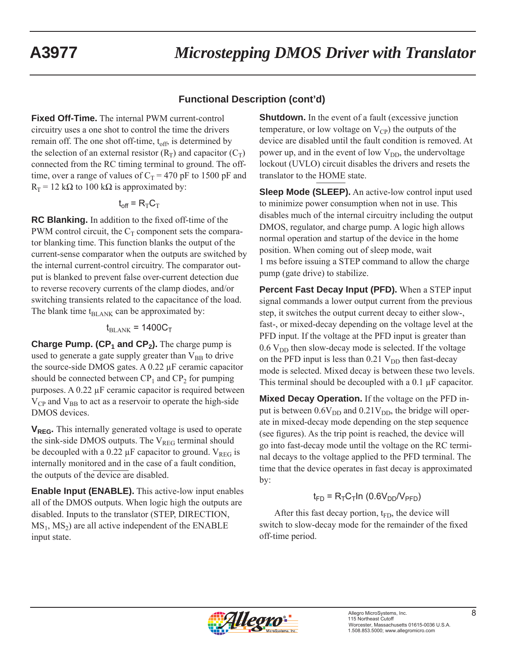### **Functional Description (cont'd)**

**Fixed Off-Time.** The internal PWM current-control circuitry uses a one shot to control the time the drivers remain off. The one shot off-time,  $t_{off}$ , is determined by the selection of an external resistor  $(R_T)$  and capacitor  $(C_T)$ connected from the RC timing terminal to ground. The offtime, over a range of values of  $C_T = 470$  pF to 1500 pF and  $R_T$  = 12 kΩ to 100 kΩ is approximated by:

$$
t_{off} = R_{T}C_{T}
$$

**RC Blanking.** In addition to the fixed off-time of the PWM control circuit, the  $C_T$  component sets the comparator blanking time. This function blanks the output of the current-sense comparator when the outputs are switched by the internal current-control circuitry. The comparator output is blanked to prevent false over-current detection due to reverse recovery currents of the clamp diodes, and/or switching transients related to the capacitance of the load. The blank time  $t_{BLANK}$  can be approximated by:

### $t_{\text{BI ANK}}$  = 1400C<sub>T</sub>

**Charge Pump. (CP<sub>1</sub> and CP<sub>2</sub>).** The charge pump is used to generate a gate supply greater than  $V_{BB}$  to drive the source-side DMOS gates. A 0.22 μF ceramic capacitor should be connected between  $CP_1$  and  $CP_2$  for pumping purposes. A 0.22 μF ceramic capacitor is required between  $V_{CP}$  and  $V_{BB}$  to act as a reservoir to operate the high-side DMOS devices.

**V<sub>REG</sub>.** This internally generated voltage is used to operate the sink-side DMOS outputs. The  $V_{REG}$  terminal should be decoupled with a 0.22  $\mu$ F capacitor to ground. V<sub>REG</sub> is internally monitored and in the case of a fault condition, the outputs of the device are disabled.

**Enable Input (ENABLE).** This active-low input enables all of the DMOS outputs. When logic high the outputs are disabled. Inputs to the translator (STEP, DIRECTION,  $MS_1$ ,  $MS_2$ ) are all active independent of the ENABLE input state.

**Shutdown.** In the event of a fault (excessive junction temperature, or low voltage on  $V_{\text{CP}}$ ) the outputs of the device are disabled until the fault condition is removed. At power up, and in the event of low  $V_{DD}$ , the undervoltage lockout (UVLO) circuit disables the drivers and resets the translator to the HOME state.

**Sleep Mode (SLEEP).** An active-low control input used to minimize power consumption when not in use. This disables much of the internal circuitry including the output DMOS, regulator, and charge pump. A logic high allows normal operation and startup of the device in the home position. When coming out of sleep mode, wait 1 ms before issuing a STEP command to allow the charge pump (gate drive) to stabilize.

**Percent Fast Decay Input (PFD).** When a STEP input signal commands a lower output current from the previous step, it switches the output current decay to either slow-, fast-, or mixed-decay depending on the voltage level at the PFD input. If the voltage at the PFD input is greater than  $0.6$  V<sub>DD</sub> then slow-decay mode is selected. If the voltage on the PFD input is less than  $0.21$  V<sub>DD</sub> then fast-decay mode is selected. Mixed decay is between these two levels. This terminal should be decoupled with a 0.1 μF capacitor.

**Mixed Decay Operation.** If the voltage on the PFD input is between  $0.6V_{DD}$  and  $0.21V_{DD}$ , the bridge will operate in mixed-decay mode depending on the step sequence (see figures). As the trip point is reached, the device will go into fast-decay mode until the voltage on the RC terminal decays to the voltage applied to the PFD terminal. The time that the device operates in fast decay is approximated by:

### $t_{FD}$  = R<sub>T</sub>C<sub>T</sub>In (0.6V<sub>DD</sub>/V<sub>PFD</sub>)

After this fast decay portion,  $t_{FD}$ , the device will switch to slow-decay mode for the remainder of the fixed off-time period.

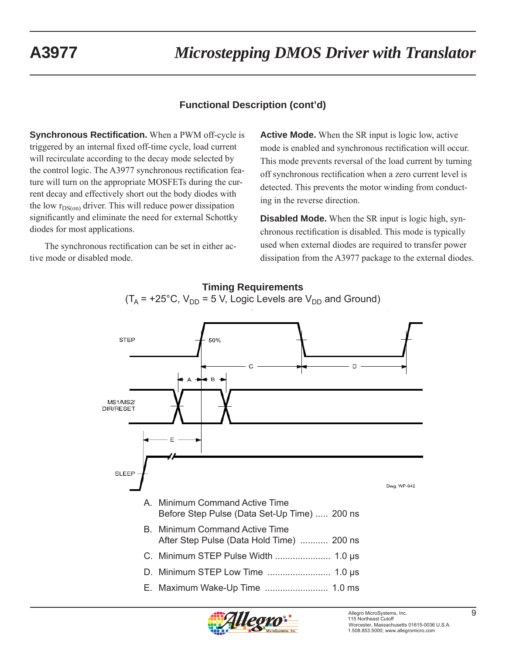## **Functional Description (cont'd)**

**Synchronous Rectification.** When a PWM off-cycle is triggered by an internal fixed off-time cycle, load current will recirculate according to the decay mode selected by the control logic. The A3977 synchronous rectification feature will turn on the appropriate MOSFETs during the current decay and effectively short out the body diodes with the low  $r_{DS(on)}$  driver. This will reduce power dissipation significantly and eliminate the need for external Schottky diodes for most applications.

The synchronous rectification can be set in either active mode or disabled mode.

**Active Mode.** When the SR input is logic low, active mode is enabled and synchronous rectification will occur. This mode prevents reversal of the load current by turning off synchronous rectification when a zero current level is detected. This prevents the motor winding from conducting in the reverse direction.

**Disabled Mode.** When the SR input is logic high, synchronous rectification is disabled. This mode is typically used when external diodes are required to transfer power dissipation from the A3977 package to the external diodes.





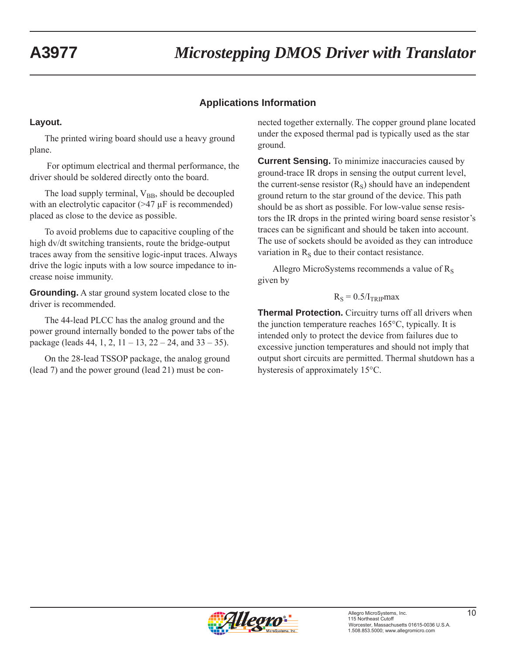### **Applications Information**

#### **Layout.**

The printed wiring board should use a heavy ground plane.

 For optimum electrical and thermal performance, the driver should be soldered directly onto the board.

The load supply terminal,  $V_{BB}$ , should be decoupled with an electrolytic capacitor  $(>= 47 \mu$ F is recommended) placed as close to the device as possible.

To avoid problems due to capacitive coupling of the high dv/dt switching transients, route the bridge-output traces away from the sensitive logic-input traces. Always drive the logic inputs with a low source impedance to increase noise immunity.

**Grounding.** A star ground system located close to the driver is recommended.

The 44-lead PLCC has the analog ground and the power ground internally bonded to the power tabs of the package (leads 44, 1, 2,  $11 - 13$ ,  $22 - 24$ , and  $33 - 35$ ).

On the 28-lead TSSOP package, the analog ground (lead 7) and the power ground (lead 21) must be connected together externally. The copper ground plane located under the exposed thermal pad is typically used as the star ground.

**Current Sensing.** To minimize inaccuracies caused by ground-trace IR drops in sensing the output current level, the current-sense resistor  $(R<sub>S</sub>)$  should have an independent ground return to the star ground of the device. This path should be as short as possible. For low-value sense resistors the IR drops in the printed wiring board sense resistor's traces can be significant and should be taken into account. The use of sockets should be avoided as they can introduce variation in  $R<sub>S</sub>$  due to their contact resistance.

Allegro MicroSystems recommends a value of  $R<sub>S</sub>$ given by

#### $R<sub>S</sub> = 0.5/I<sub>TRIP</sub>max$

**Thermal Protection.** Circuitry turns off all drivers when the junction temperature reaches 165°C, typically. It is intended only to protect the device from failures due to excessive junction temperatures and should not imply that output short circuits are permitted. Thermal shutdown has a hysteresis of approximately 15°C.

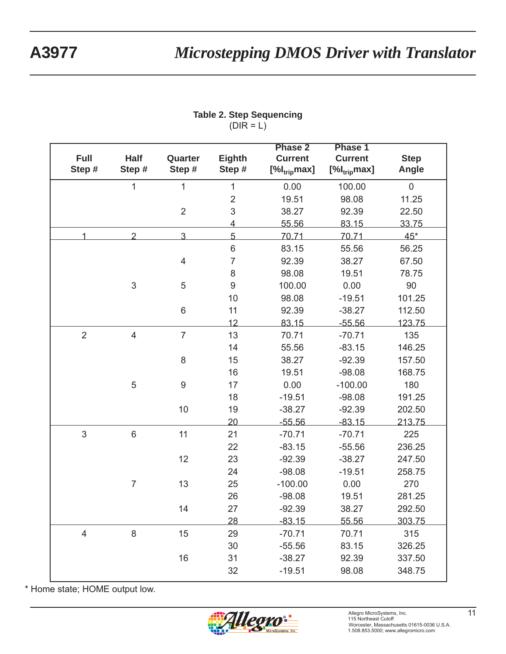| Full<br>Step # | <b>Half</b><br>Step# | Quarter<br>Step # | Eighth<br>Step # | <b>Phase 2</b><br><b>Current</b><br>$[\%I_{trip}$ max] | Phase 1<br><b>Current</b><br>$[%$ <sub>trip</sub> max] | <b>Step</b><br>Angle |
|----------------|----------------------|-------------------|------------------|--------------------------------------------------------|--------------------------------------------------------|----------------------|
|                | $\mathbf{1}$         | 1                 | 1                | 0.00                                                   | 100.00                                                 | $\pmb{0}$            |
|                |                      |                   | $\mathbf 2$      | 19.51                                                  | 98.08                                                  | 11.25                |
|                |                      | $\overline{2}$    | 3                | 38.27                                                  | 92.39                                                  | 22.50                |
|                |                      |                   | $\overline{4}$   | 55.56                                                  | 83.15                                                  | 33.75                |
| 1              | $\overline{2}$       | $\overline{3}$    | $5\overline{}$   | 70.71                                                  | 70.71                                                  | $45*$                |
|                |                      |                   | $\,$ 6 $\,$      | 83.15                                                  | 55.56                                                  | 56.25                |
|                |                      | $\overline{4}$    | $\overline{7}$   | 92.39                                                  | 38.27                                                  | 67.50                |
|                |                      |                   | 8                | 98.08                                                  | 19.51                                                  | 78.75                |
|                | $\mathfrak{S}$       | $\sqrt{5}$        | 9                | 100.00                                                 | 0.00                                                   | 90                   |
|                |                      |                   | 10               | 98.08                                                  | $-19.51$                                               | 101.25               |
|                |                      | $\,6$             | 11               | 92.39                                                  | $-38.27$                                               | 112.50               |
|                |                      |                   | 12               | 83.15                                                  | $-55.56$                                               | 123.75               |
| $\overline{2}$ | $\overline{4}$       | $\overline{7}$    | 13               | 70.71                                                  | $-70.71$                                               | 135                  |
|                |                      |                   | 14               | 55.56                                                  | $-83.15$                                               | 146.25               |
|                |                      | 8                 | 15               | 38.27                                                  | $-92.39$                                               | 157.50               |
|                |                      |                   | 16               | 19.51                                                  | $-98.08$                                               | 168.75               |
|                | 5                    | $\boldsymbol{9}$  | 17               | 0.00                                                   | $-100.00$                                              | 180                  |
|                |                      |                   | 18               | $-19.51$                                               | $-98.08$                                               | 191.25               |
|                |                      | 10                | 19               | $-38.27$                                               | $-92.39$                                               | 202.50               |
|                |                      |                   | 20               | $-55.56$                                               | $-83.15$                                               | 213.75               |
| 3              | 6                    | 11                | 21               | $-70.71$                                               | $-70.71$                                               | 225                  |
|                |                      |                   | 22               | $-83.15$                                               | $-55.56$                                               | 236.25               |
|                |                      | 12                | 23               | $-92.39$                                               | $-38.27$                                               | 247.50               |
|                |                      |                   | 24               | $-98.08$                                               | $-19.51$                                               | 258.75               |
|                | $\overline{7}$       | 13                | 25               | $-100.00$                                              | 0.00                                                   | 270                  |
|                |                      |                   | 26               | $-98.08$                                               | 19.51                                                  | 281.25               |
|                |                      | 14                | 27               | $-92.39$                                               | 38.27                                                  | 292.50               |
|                |                      |                   | 28               | $-83.15$                                               | 55.56                                                  | 303.75               |
| $\overline{4}$ | $\,8\,$              | 15                | 29               | $-70.71$                                               | 70.71                                                  | 315                  |
|                |                      |                   | 30               | $-55.56$                                               | 83.15                                                  | 326.25               |
|                |                      | 16                | 31               | $-38.27$                                               | 92.39                                                  | 337.50               |
|                |                      |                   | 32               | $-19.51$                                               | 98.08                                                  | 348.75               |
|                |                      |                   |                  |                                                        |                                                        |                      |

#### **Table 2. Step Sequencing**  $(DIR = L)$

\* Home state; HOME output low.

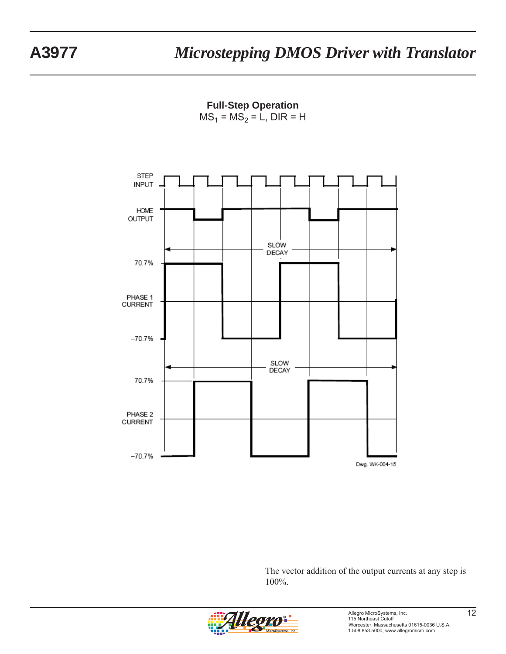**Full-Step Operation**  $MS_1 = MS_2 = L$ , DIR = H



The vector addition of the output currents at any step is 100%.

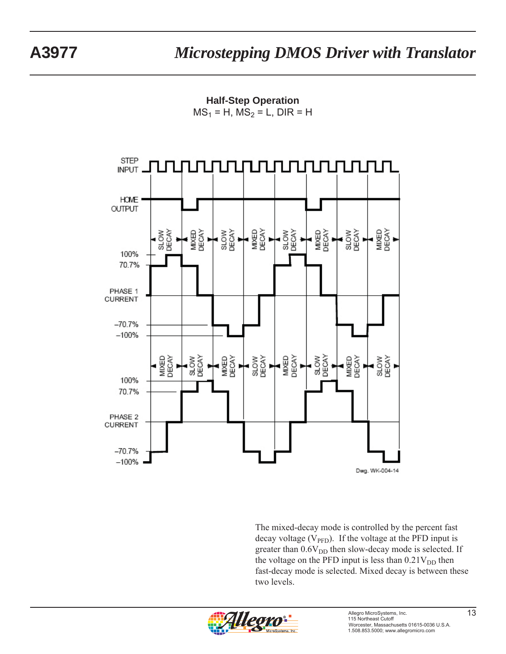**Half-Step Operation**  $MS_1 = H$ ,  $MS_2 = L$ , DIR = H



The mixed-decay mode is controlled by the percent fast decay voltage ( $V_{\text{PFD}}$ ). If the voltage at the PFD input is greater than  $0.6V<sub>DD</sub>$  then slow-decay mode is selected. If the voltage on the PFD input is less than  $0.21V<sub>DD</sub>$  then fast-decay mode is selected. Mixed decay is between these two levels.

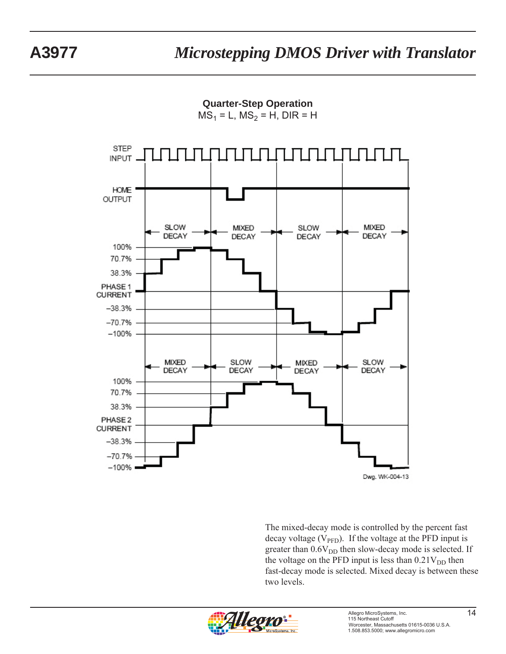**Quarter-Step Operation**

 $MS_1 = L$ ,  $MS_2 = H$ , DIR = H



The mixed-decay mode is controlled by the percent fast decay voltage ( $V_{\text{PFD}}$ ). If the voltage at the PFD input is greater than  $0.6V<sub>DD</sub>$  then slow-decay mode is selected. If the voltage on the PFD input is less than  $0.21V<sub>DD</sub>$  then fast-decay mode is selected. Mixed decay is between these two levels.

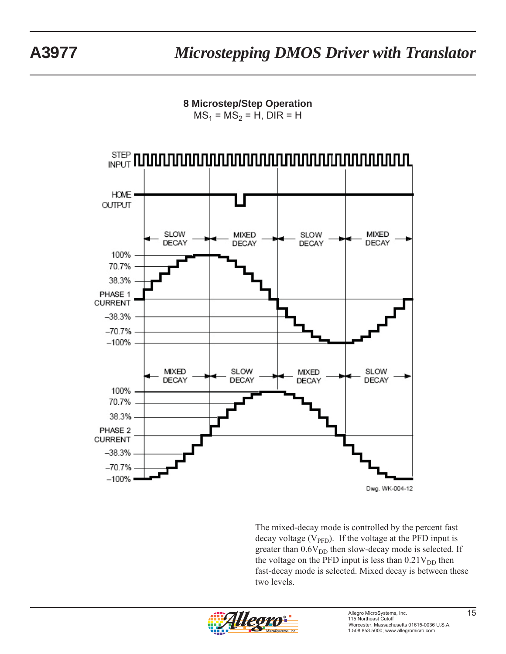**8 Microstep/Step Operation**  $MS_1 = MS_2 = H$ , DIR = H



The mixed-decay mode is controlled by the percent fast decay voltage ( $V_{\text{PFD}}$ ). If the voltage at the PFD input is greater than  $0.6V<sub>DD</sub>$  then slow-decay mode is selected. If the voltage on the PFD input is less than  $0.21V<sub>DD</sub>$  then fast-decay mode is selected. Mixed decay is between these two levels.

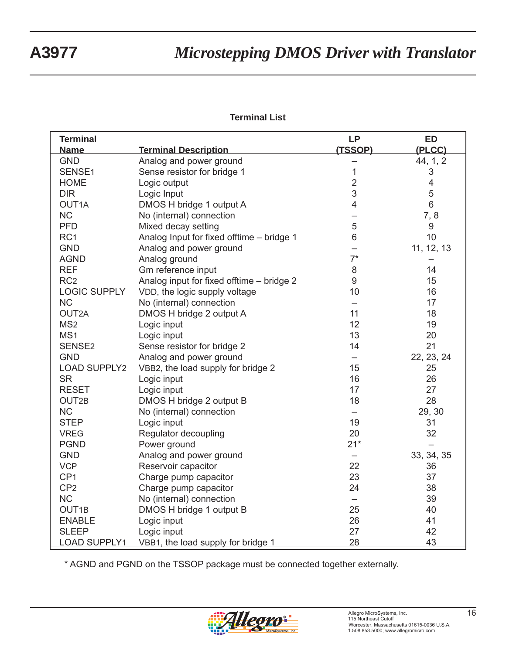#### **Terminal List**

| <b>Terminal</b>     |                                           | <b>LP</b>         | <b>ED</b>                 |
|---------------------|-------------------------------------------|-------------------|---------------------------|
| <b>Name</b>         | <b>Terminal Description</b>               | (TSSOP)           | (PLCC)                    |
| <b>GND</b>          | Analog and power ground                   |                   | 44, 1, 2                  |
| SENSE1              | Sense resistor for bridge 1               | $\mathbf 1$       | $\ensuremath{\mathsf{3}}$ |
| <b>HOME</b>         | Logic output                              | $\overline{c}$    | $\overline{\mathbf{4}}$   |
| <b>DIR</b>          | Logic Input                               | 3                 | 5                         |
| OUT <sub>1</sub> A  | DMOS H bridge 1 output A                  | $\overline{4}$    | $6\phantom{1}$            |
| <b>NC</b>           | No (internal) connection                  |                   | 7,8                       |
| <b>PFD</b>          | Mixed decay setting                       | 5                 | 9                         |
| RC <sub>1</sub>     | Analog Input for fixed offtime - bridge 1 | $\,6$             | 10                        |
| <b>GND</b>          | Analog and power ground                   |                   | 11, 12, 13                |
| <b>AGND</b>         | Analog ground                             | $7^*$             |                           |
| <b>REF</b>          | Gm reference input                        | 8                 | 14                        |
| RC <sub>2</sub>     | Analog input for fixed offtime - bridge 2 | 9                 | 15                        |
| <b>LOGIC SUPPLY</b> | VDD, the logic supply voltage             | 10                | 16                        |
| <b>NC</b>           | No (internal) connection                  |                   | 17                        |
| OUT2A               | DMOS H bridge 2 output A                  | 11                | 18                        |
| MS <sub>2</sub>     | Logic input                               | 12                | 19                        |
| MS <sub>1</sub>     | Logic input                               | 13                | 20                        |
| SENSE <sub>2</sub>  | Sense resistor for bridge 2               | 14                | 21                        |
| <b>GND</b>          | Analog and power ground                   |                   | 22, 23, 24                |
| <b>LOAD SUPPLY2</b> | VBB2, the load supply for bridge 2        | 15                | 25                        |
| <b>SR</b>           | Logic input                               | 16                | 26                        |
| <b>RESET</b>        | Logic input                               | 17                | 27                        |
| OUT2B               | DMOS H bridge 2 output B                  | 18                | 28                        |
| <b>NC</b>           | No (internal) connection                  |                   | 29, 30                    |
| <b>STEP</b>         | Logic input                               | 19                | 31                        |
| <b>VREG</b>         | Regulator decoupling                      | 20                | 32                        |
| <b>PGND</b>         | Power ground                              | $21*$             |                           |
| <b>GND</b>          | Analog and power ground                   | -                 | 33, 34, 35                |
| <b>VCP</b>          | Reservoir capacitor                       | 22                | 36                        |
| CP <sub>1</sub>     | Charge pump capacitor                     | 23                | 37                        |
| CP <sub>2</sub>     | Charge pump capacitor                     | 24                | 38                        |
| <b>NC</b>           | No (internal) connection                  | $\qquad \qquad -$ | 39                        |
| OUT <sub>1B</sub>   | DMOS H bridge 1 output B                  | 25                | 40                        |
| <b>ENABLE</b>       | Logic input                               | 26                | 41                        |
| <b>SLEEP</b>        | Logic input                               | 27                | 42                        |
| <b>LOAD SUPPLY1</b> | VBB1, the load supply for bridge 1        | 28                | 43                        |

\* AGND and PGND on the TSSOP package must be connected together externally.

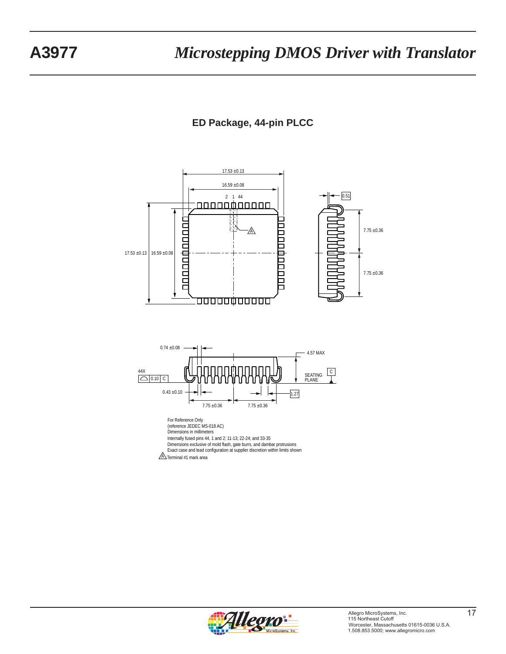## **ED Package, 44-pin PLCC**